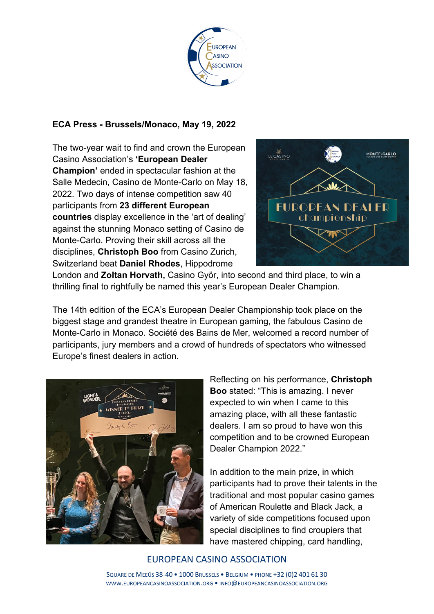

## **ECA Press - Brussels/Monaco, May 19, 2022**

The two-year wait to find and crown the European Casino Association's **'European Dealer Champion'** ended in spectacular fashion at the Salle Medecin, Casino de Monte-Carlo on May 18, 2022. Two days of intense competition saw 40 participants from **23 different European countries** display excellence in the 'art of dealing' against the stunning Monaco setting of Casino de Monte-Carlo. Proving their skill across all the disciplines, **Christoph Boo** from Casino Zurich, Switzerland beat **Daniel Rhodes**, Hippodrome



London and **Zoltan Horvath,** Casino Györ, into second and third place, to win a thrilling final to rightfully be named this year's European Dealer Champion.

The 14th edition of the ECA's European Dealer Championship took place on the biggest stage and grandest theatre in European gaming, the fabulous Casino de Monte-Carlo in Monaco. Société des Bains de Mer, welcomed a record number of participants, jury members and a crowd of hundreds of spectators who witnessed Europe's finest dealers in action.



Reflecting on his performance, **Christoph Boo** stated: "This is amazing. I never expected to win when I came to this amazing place, with all these fantastic dealers. I am so proud to have won this competition and to be crowned European Dealer Champion 2022."

In addition to the main prize, in which participants had to prove their talents in the traditional and most popular casino games of American Roulette and Black Jack, a variety of side competitions focused upon special disciplines to find croupiers that have mastered chipping, card handling,

## EUROPEAN CASINO ASSOCIATION

SQUARE DE MEEÛS 38-40 • 1000 BRUSSELS • BELGIUM • PHONE +32 (0)2 401 61 30 WWW.EUROPEANCASINOASSOCIATION.ORG • INFO@EUROPEANCASINOASSOCIATION.ORG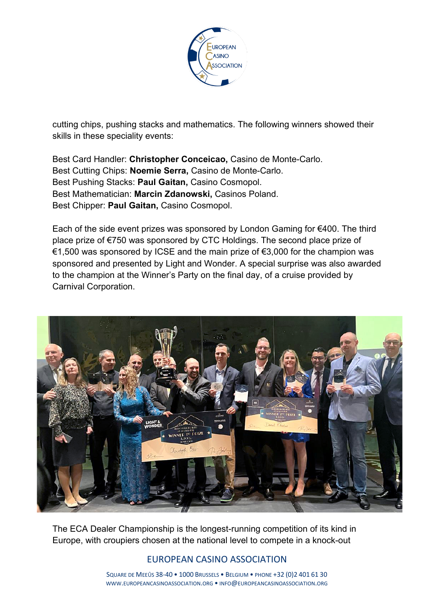

cutting chips, pushing stacks and mathematics. The following winners showed their skills in these speciality events:

Best Card Handler: **Christopher Conceicao,** Casino de Monte-Carlo. Best Cutting Chips: **Noemie Serra,** Casino de Monte-Carlo. Best Pushing Stacks: **Paul Gaitan,** Casino Cosmopol. Best Mathematician: **Marcin Zdanowski,** Casinos Poland. Best Chipper: **Paul Gaitan,** Casino Cosmopol.

Each of the side event prizes was sponsored by London Gaming for €400. The third place prize of €750 was sponsored by CTC Holdings. The second place prize of €1,500 was sponsored by ICSE and the main prize of  $€3,000$  for the champion was sponsored and presented by Light and Wonder. A special surprise was also awarded to the champion at the Winner's Party on the final day, of a cruise provided by Carnival Corporation.



The ECA Dealer Championship is the longest-running competition of its kind in Europe, with croupiers chosen at the national level to compete in a knock-out

# EUROPEAN CASINO ASSOCIATION

SQUARE DE MEEÛS 38-40 • 1000 BRUSSELS • BELGIUM • PHONE +32 (0)2 401 61 30 WWW.EUROPEANCASINOASSOCIATION.ORG • INFO@EUROPEANCASINOASSOCIATION.ORG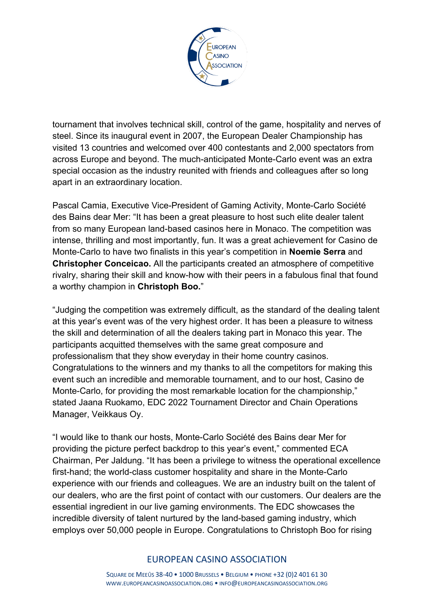

tournament that involves technical skill, control of the game, hospitality and nerves of steel. Since its inaugural event in 2007, the European Dealer Championship has visited 13 countries and welcomed over 400 contestants and 2,000 spectators from across Europe and beyond. The much-anticipated Monte-Carlo event was an extra special occasion as the industry reunited with friends and colleagues after so long apart in an extraordinary location.

Pascal Camia, Executive Vice-President of Gaming Activity, Monte-Carlo Société des Bains dear Mer: "It has been a great pleasure to host such elite dealer talent from so many European land-based casinos here in Monaco. The competition was intense, thrilling and most importantly, fun. It was a great achievement for Casino de Monte-Carlo to have two finalists in this year's competition in **Noemie Serra** and **Christopher Conceicao.** All the participants created an atmosphere of competitive rivalry, sharing their skill and know-how with their peers in a fabulous final that found a worthy champion in **Christoph Boo.**"

"Judging the competition was extremely difficult, as the standard of the dealing talent at this year's event was of the very highest order. It has been a pleasure to witness the skill and determination of all the dealers taking part in Monaco this year. The participants acquitted themselves with the same great composure and professionalism that they show everyday in their home country casinos. Congratulations to the winners and my thanks to all the competitors for making this event such an incredible and memorable tournament, and to our host, Casino de Monte-Carlo, for providing the most remarkable location for the championship," stated Jaana Ruokamo, EDC 2022 Tournament Director and Chain Operations Manager, Veikkaus Oy.

"I would like to thank our hosts, Monte-Carlo Société des Bains dear Mer for providing the picture perfect backdrop to this year's event," commented ECA Chairman, Per Jaldung. "It has been a privilege to witness the operational excellence first-hand; the world-class customer hospitality and share in the Monte-Carlo experience with our friends and colleagues. We are an industry built on the talent of our dealers, who are the first point of contact with our customers. Our dealers are the essential ingredient in our live gaming environments. The EDC showcases the incredible diversity of talent nurtured by the land-based gaming industry, which employs over 50,000 people in Europe. Congratulations to Christoph Boo for rising

## EUROPEAN CASINO ASSOCIATION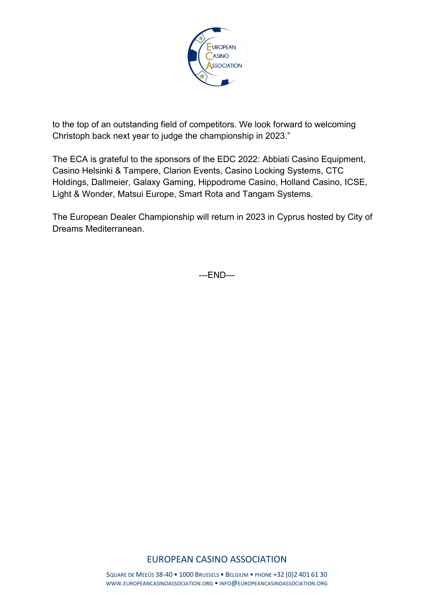

to the top of an outstanding field of competitors. We look forward to welcoming Christoph back next year to judge the championship in 2023."

The ECA is grateful to the sponsors of the EDC 2022: Abbiati Casino Equipment, Casino Helsinki & Tampere, Clarion Events, Casino Locking Systems, CTC Holdings, Dallmeier, Galaxy Gaming, Hippodrome Casino, Holland Casino, ICSE, Light & Wonder, Matsui Europe, Smart Rota and Tangam Systems.

The European Dealer Championship will return in 2023 in Cyprus hosted by City of Dreams Mediterranean.

---END---

# EUROPEAN CASINO ASSOCIATION